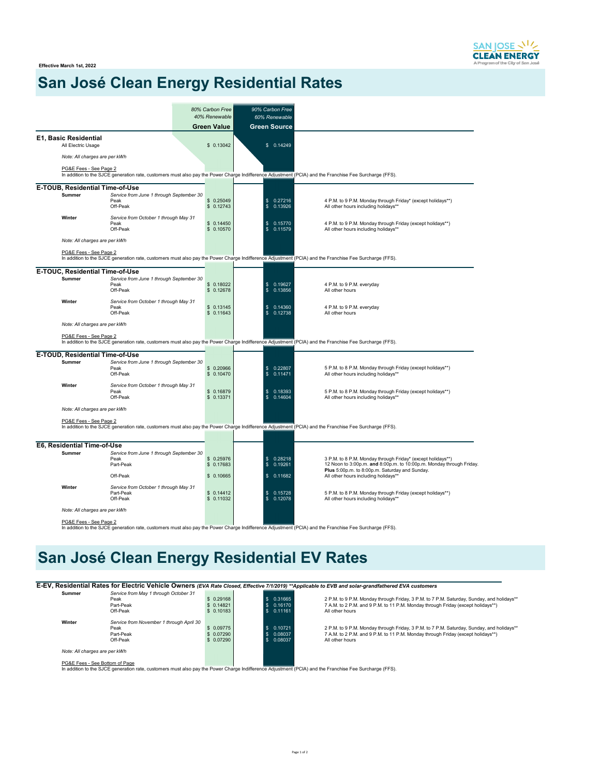**Effective March 1st, 2022**

# **San José Clean Energy Residential Rates**

|                              |                                                                | 80% Carbon Free         | 90% Carbon Free                            |                                                                                                                                                                                       |
|------------------------------|----------------------------------------------------------------|-------------------------|--------------------------------------------|---------------------------------------------------------------------------------------------------------------------------------------------------------------------------------------|
|                              |                                                                | 40% Renewable           | 60% Renewable                              |                                                                                                                                                                                       |
|                              |                                                                | <b>Green Value</b>      | <b>Green Source</b>                        |                                                                                                                                                                                       |
| <b>E1, Basic Residential</b> | All Electric Usage                                             | \$0.13042               | \$0.14249                                  |                                                                                                                                                                                       |
|                              |                                                                |                         |                                            |                                                                                                                                                                                       |
|                              | Note: All charges are per kWh                                  |                         |                                            |                                                                                                                                                                                       |
|                              | PG&E Fees - See Page 2                                         |                         |                                            | In addition to the SJCE generation rate, customers must also pay the Power Charge Indifference Adjustment (PCIA) and the Franchise Fee Surcharge (FFS).                               |
|                              | <b>E-TOUB, Residential Time-of-Use</b>                         |                         |                                            |                                                                                                                                                                                       |
| Summer                       | Service from June 1 through September 30<br>Peak<br>Off-Peak   | \$0.25049<br>\$0.12743  | 0.27216<br>\$<br>\$<br>0.13926             | 4 P.M. to 9 P.M. Monday through Friday* (except holidays**)<br>All other hours including holidays**                                                                                   |
| Winter                       | Service from October 1 through May 31<br>Peak<br>Off-Peak      | \$0.14450<br>\$0.10570  | \$<br>0.15770<br>$\mathbf{s}$<br>0.11579   | 4 P.M. to 9 P.M. Monday through Friday (except holidays**)<br>All other hours including holidays**                                                                                    |
|                              | Note: All charges are per kWh                                  |                         |                                            |                                                                                                                                                                                       |
|                              | PG&E Fees - See Page 2                                         |                         |                                            | In addition to the SJCE generation rate, customers must also pay the Power Charge Indifference Adjustment (PCIA) and the Franchise Fee Surcharge (FFS).                               |
|                              | E-TOUC, Residential Time-of-Use                                |                         |                                            |                                                                                                                                                                                       |
| Summer                       | Service from June 1 through September 30<br>Peak<br>Off-Peak   | \$0.18022<br>\$0.12678  | 0.19627<br>\$<br>\$<br>0.13856             | 4 P.M. to 9 P.M. everyday<br>All other hours                                                                                                                                          |
| Winter                       | Service from October 1 through May 31<br>Peak<br>Off-Peak      | \$0.13145<br>\$0.11643  | 0.14360<br>\$<br>$\mathbf{s}$<br>0.12738   | 4 P.M. to 9 P.M. everyday<br>All other hours                                                                                                                                          |
|                              | Note: All charges are per kWh                                  |                         |                                            |                                                                                                                                                                                       |
|                              | PG&E Fees - See Page 2                                         |                         |                                            | In addition to the SJCE generation rate, customers must also pay the Power Charge Indifference Adjustment (PCIA) and the Franchise Fee Surcharge (FFS).                               |
|                              | E-TOUD, Residential Time-of-Use                                |                         |                                            |                                                                                                                                                                                       |
| <b>Summer</b>                | Service from June 1 through September 30<br>Peak<br>Off-Peak   | \$0.20966<br>\$0.10470  | \$<br>0.22807<br>\$<br>0.11471             | 5 P.M. to 8 P.M. Monday through Friday (except holidays**)<br>All other hours including holidays**                                                                                    |
| Winter                       | Service from October 1 through May 31<br>Peak<br>Off-Peak      | \$ 0.16879<br>\$0.13371 | 0.18393<br>\$<br>0.14604<br>$\mathsf{\$}$  | 5 P.M. to 8 P.M. Monday through Friday (except holidays**)<br>All other hours including holidays**                                                                                    |
|                              | Note: All charges are per kWh                                  |                         |                                            |                                                                                                                                                                                       |
|                              | PG&E Fees - See Page 2                                         |                         |                                            | In addition to the SJCE generation rate, customers must also pay the Power Charge Indifference Adjustment (PCIA) and the Franchise Fee Surcharge (FFS).                               |
|                              |                                                                |                         |                                            |                                                                                                                                                                                       |
|                              | E6, Residential Time-of-Use                                    |                         |                                            |                                                                                                                                                                                       |
| Summer                       | Service from June 1 through September 30<br>Peak<br>Part-Peak  | \$ 0.25976<br>\$0.17683 | \$<br>0.28218<br>\$<br>0.19261             | 3 P.M. to 8 P.M. Monday through Friday* (except holidays**)<br>12 Noon to 3:00p.m. and 8:00p.m. to 10:00p.m. Monday through Friday.<br>Plus 5:00p.m. to 8:00p.m. Saturday and Sunday. |
|                              | Off-Peak                                                       | \$0.10665               | \$<br>0.11682                              | All other hours including holidays**                                                                                                                                                  |
| Winter                       | Service from October 1 through May 31<br>Part-Peak<br>Off-Peak | \$0.14412<br>\$0.11032  | \$<br>0.15728<br>$\mathfrak{s}$<br>0.12078 | 5 P.M. to 8 P.M. Monday through Friday (except holidays**)<br>All other hours including holidays**                                                                                    |
|                              | Note: All charges are per kWh                                  |                         |                                            |                                                                                                                                                                                       |
|                              | PG&E Fees - See Page 2                                         |                         |                                            |                                                                                                                                                                                       |

In addition to the SJCE generation rate, customers must also pay the Power Charge Indifference Adjustment (PCIA) and the Franchise Fee Surcharge (FFS).

# **San José Clean Energy Residential EV Rates**

**E-EV, Residential Rates for Electric Vehicle Owners** *(EVA Rate Closed, Effective 7/1/2019) \*\*Applicable to EVB and solar-grandfathered EVA customers*

|                               |                                          |            |                    |         | nooldonga nagoo lol Elocalo Vollicio Owners (EvA hale closed, Electric Mizers) - Applicable to EvD and solar-grandlatiered EvA customers |
|-------------------------------|------------------------------------------|------------|--------------------|---------|------------------------------------------------------------------------------------------------------------------------------------------|
| Summer                        | Service from May 1 through October 31    |            |                    |         |                                                                                                                                          |
|                               | Peak                                     | \$0.29168  |                    | 0.31665 | 2 P.M. to 9 P.M. Monday through Friday, 3 P.M. to 7 P.M. Saturday, Sunday, and holidays**                                                |
|                               | Part-Peak                                | \$0.14821  |                    | 0.16170 | 7 A.M. to 2 P.M. and 9 P.M. to 11 P.M. Monday through Friday (except holidays**)                                                         |
|                               | Off-Peak                                 | \$0.10183  |                    | 0.11161 | All other hours                                                                                                                          |
| Winter                        | Service from November 1 through April 30 |            |                    |         |                                                                                                                                          |
|                               | Peak                                     | \$0.09775  | $\mathbf{\hat{x}}$ | 0.10721 | 2 P.M. to 9 P.M. Monday through Friday, 3 P.M. to 7 P.M. Saturday, Sunday, and holidays**                                                |
|                               | Part-Peak                                | \$ 0.07290 | £.                 | 0.08037 | 7 A.M. to 2 P.M. and 9 P.M. to 11 P.M. Monday through Friday (except holidays**)                                                         |
|                               | Off-Peak                                 | \$ 0.07290 |                    | 0.08037 | All other hours                                                                                                                          |
| Note: All charges are per kWh |                                          |            |                    |         |                                                                                                                                          |
| DC&E Eggs See Bottom of Dags  |                                          |            |                    |         |                                                                                                                                          |

PG&E Fees - See Bottom of Page<br>In addition to the SJCE generation rate, customers must also pay the Power Charge Indifference Adjustment (PCIA) and the Franchise Fee Surcharge (FFS).